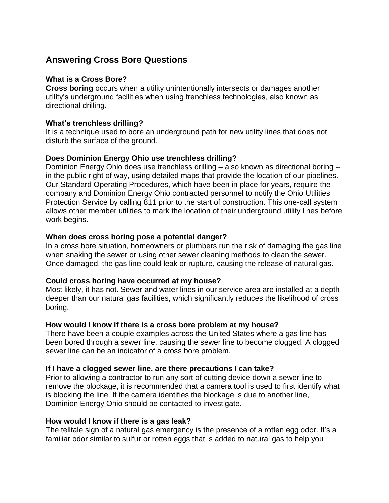## **Answering Cross Bore Questions**

#### **What is a Cross Bore?**

**Cross boring** occurs when a utility unintentionally intersects or damages another utility's underground facilities when using trenchless technologies, also known as directional drilling.

#### **What's trenchless drilling?**

 disturb the surface of the ground. It is a technique used to bore an underground path for new utility lines that does not

#### **Does Dominion Energy Ohio use trenchless drilling?**

 Dominion Energy Ohio does use trenchless drilling – also known as directional boring -- Our Standard Operating Procedures, which have been in place for years, require the work begins. in the public right of way, using detailed maps that provide the location of our pipelines. company and Dominion Energy Ohio contracted personnel to notify the Ohio Utilities Protection Service by calling 811 prior to the start of construction. This one-call system allows other member utilities to mark the location of their underground utility lines before

#### **When does cross boring pose a potential danger?**

In a cross bore situation, homeowners or plumbers run the risk of damaging the gas line when snaking the sewer or using other sewer cleaning methods to clean the sewer. Once damaged, the gas line could leak or rupture, causing the release of natural gas.

#### **Could cross boring have occurred at my house?**

 Most likely, it has not. Sewer and water lines in our service area are installed at a depth deeper than our natural gas facilities, which significantly reduces the likelihood of cross boring.

#### **How would I know if there is a cross bore problem at my house?**

 been bored through a sewer line, causing the sewer line to become clogged. A clogged sewer line can be an indicator of a cross bore problem. There have been a couple examples across the United States where a gas line has

#### **If I have a clogged sewer line, are there precautions I can take?**

Prior to allowing a contractor to run any sort of cutting device down a sewer line to remove the blockage, it is recommended that a camera tool is used to first identify what is blocking the line. If the camera identifies the blockage is due to another line, Dominion Energy Ohio should be contacted to investigate.

#### **How would I know if there is a gas leak?**

 familiar odor similar to sulfur or rotten eggs that is added to natural gas to help you The telltale sign of a natural gas emergency is the presence of a rotten egg odor. It's a